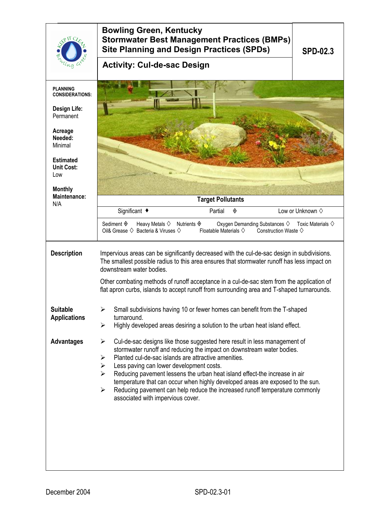|                                              | <b>Bowling Green, Kentucky</b><br><b>Stormwater Best Management Practices (BMPs)</b><br><b>Site Planning and Design Practices (SPDs)</b>                                                                                                                                                                                           | <b>SPD-02.3</b>                |  |  |
|----------------------------------------------|------------------------------------------------------------------------------------------------------------------------------------------------------------------------------------------------------------------------------------------------------------------------------------------------------------------------------------|--------------------------------|--|--|
|                                              | <b>Activity: Cul-de-sac Design</b>                                                                                                                                                                                                                                                                                                 |                                |  |  |
| <b>PLANNING</b><br><b>CONSIDERATIONS:</b>    |                                                                                                                                                                                                                                                                                                                                    |                                |  |  |
| Design Life:<br>Permanent                    |                                                                                                                                                                                                                                                                                                                                    |                                |  |  |
| Acreage<br>Needed:<br>Minimal                |                                                                                                                                                                                                                                                                                                                                    |                                |  |  |
| <b>Estimated</b><br><b>Unit Cost:</b><br>Low |                                                                                                                                                                                                                                                                                                                                    |                                |  |  |
| <b>Monthly</b><br><b>Maintenance:</b>        | <b>Target Pollutants</b>                                                                                                                                                                                                                                                                                                           |                                |  |  |
| N/A                                          | Significant ◆<br>Partial<br>◈                                                                                                                                                                                                                                                                                                      | Low or Unknown $\diamond$      |  |  |
|                                              | Sediment $\hat{\mathbf{\diamond}}$<br>Heavy Metals $\diamondsuit$<br>Nutrients $\Diamond$<br>Oxygen Demanding Substances $\diamondsuit$<br>Oil& Grease $\Diamond$ Bacteria & Viruses $\Diamond$<br>Floatable Materials $\diamondsuit$<br>Construction Waste $\diamondsuit$                                                         | Toxic Materials $\diamondsuit$ |  |  |
| <b>Description</b>                           | Impervious areas can be significantly decreased with the cul-de-sac design in subdivisions.<br>The smallest possible radius to this area ensures that stormwater runoff has less impact on<br>downstream water bodies.                                                                                                             |                                |  |  |
|                                              | Other combating methods of runoff acceptance in a cul-de-sac stem from the application of<br>flat apron curbs, islands to accept runoff from surrounding area and T-shaped turnarounds.                                                                                                                                            |                                |  |  |
| <b>Suitable</b><br><b>Applications</b>       | Small subdivisions having 10 or fewer homes can benefit from the T-shaped<br>turnaround.<br>Highly developed areas desiring a solution to the urban heat island effect.<br>➤                                                                                                                                                       |                                |  |  |
| <b>Advantages</b>                            | Cul-de-sac designs like those suggested here result in less management of<br>➤<br>stormwater runoff and reducing the impact on downstream water bodies.<br>Planted cul-de-sac islands are attractive amenities.<br>➤<br>Less paving can lower development costs.<br>➤                                                              |                                |  |  |
|                                              | Reducing pavement lessens the urban heat island effect-the increase in air<br>$\blacktriangleright$<br>temperature that can occur when highly developed areas are exposed to the sun.<br>Reducing pavement can help reduce the increased runoff temperature commonly<br>$\blacktriangleright$<br>associated with impervious cover. |                                |  |  |
|                                              |                                                                                                                                                                                                                                                                                                                                    |                                |  |  |
|                                              |                                                                                                                                                                                                                                                                                                                                    |                                |  |  |
|                                              |                                                                                                                                                                                                                                                                                                                                    |                                |  |  |